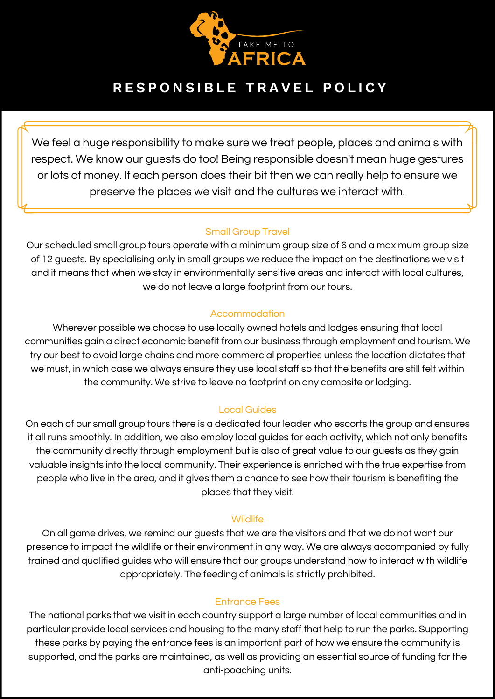

# **R E S P O N S I B L E T R A V E L P O L I C Y**

We feel a huge responsibility to make sure we treat people, places and animals with respect. We know our guests do too! Being responsible doesn't mean huge gestures or lots of money. If each person does their bit then we can really help to ensure we preserve the places we visit and the cultures we interact with.

# Small Group Travel

Our scheduled small group tours operate with a minimum group size of 6 and a maximum group size of 12 guests. By specialising only in small groups we reduce the impact on the destinations we visit and it means that when we stay in environmentally sensitive areas and interact with local cultures, we do not leave a large footprint from our tours.

# Accommodation

Wherever possible we choose to use locally owned hotels and lodges ensuring that local communities gain a direct economic benefit from our business through employment and tourism. We try our best to avoid large chains and more commercial properties unless the location dictates that we must, in which case we always ensure they use local staff so that the benefits are still felt within the community. We strive to leave no footprint on any campsite or lodging.

# Local Guides

On each of our small group tours there is a dedicated tour leader who escorts the group and ensures it all runs smoothly. In addition, we also employ local guides for each activity, which not only benefits the community directly through employment but is also of great value to our guests as they gain valuable insights into the local community. Their experience is enriched with the true expertise from people who live in the area, and it gives them a chance to see how their tourism is benefiting the places that they visit.

# **Wildlife**

On all game drives, we remind our guests that we are the visitors and that we do not want our presence to impact the wildlife or their environment in any way. We are always accompanied by fully trained and qualified guides who will ensure that our groups understand how to interact with wildlife appropriately. The feeding of animals is strictly prohibited.

# Entrance Fees

The national parks that we visit in each country support a large number of local communities and in particular provide local services and housing to the many staff that help to run the parks. Supporting these parks by paying the entrance fees is an important part of how we ensure the community is supported, and the parks are maintained, as well as providing an essential source of funding for the anti-poaching units.